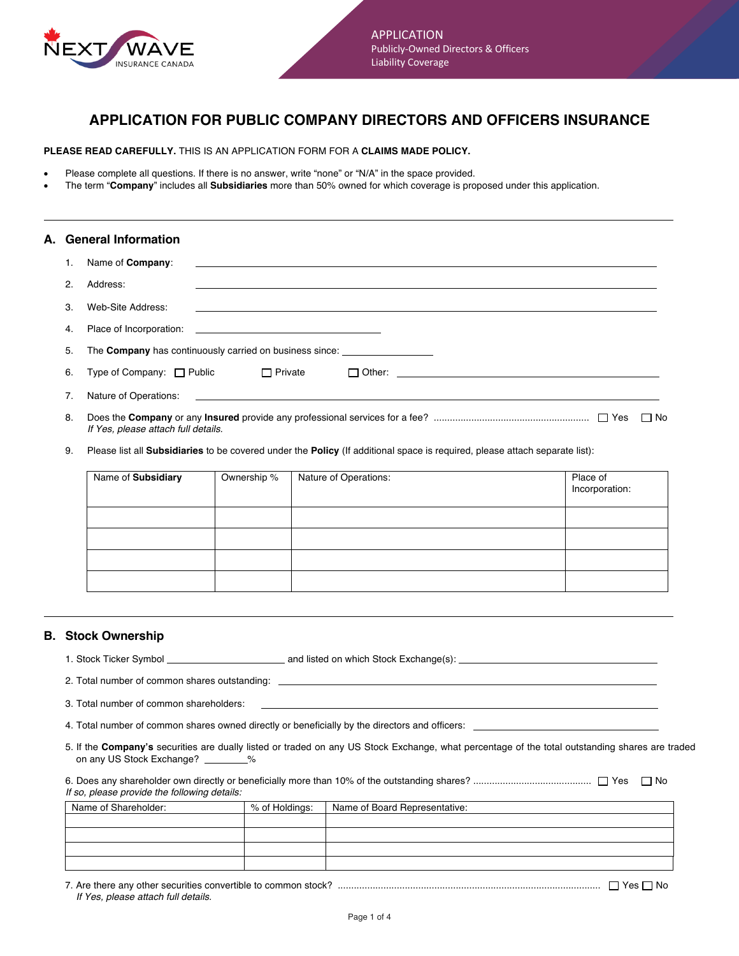

# **APPLICATION FOR PUBLIC COMPANY DIRECTORS AND OFFICERS INSURANCE**

**PLEASE READ CAREFULLY.** THIS IS AN APPLICATION FORM FOR A **CLAIMS MADE POLICY.**

- Please complete all questions. If there is no answer, write "none" or "N/A" in the space provided.
- The term "**Company**" includes all **Subsidiaries** more than 50% owned for which coverage is proposed under this application.

| A. General Information |               |                                                                                                                                            |        |
|------------------------|---------------|--------------------------------------------------------------------------------------------------------------------------------------------|--------|
|                        |               | Name of <b>Company</b> :                                                                                                                   |        |
|                        | $\mathcal{P}$ | Address:                                                                                                                                   |        |
|                        | 3             | Web-Site Address:<br><u> 1989 - Johann Harry Harry Harry Harry Harry Harry Harry Harry Harry Harry Harry Harry Harry Harry Harry Harry</u> |        |
|                        | 4.            |                                                                                                                                            |        |
|                        | 5.            | The Company has continuously carried on business since: ________________________                                                           |        |
|                        | 6.            | Type of Company: $\Box$ Public $\Box$ Private<br>$\Box$ Other:                                                                             |        |
|                        | 7.            |                                                                                                                                            |        |
|                        | 8.            | If Yes, please attach full details.                                                                                                        | ∣ I No |

9. Please list all **Subsidiaries** to be covered under the **Policy** (If additional space is required, please attach separate list):

| Name of Subsidiary | Ownership % | Nature of Operations: | Place of<br>Incorporation: |
|--------------------|-------------|-----------------------|----------------------------|
|                    |             |                       |                            |
|                    |             |                       |                            |
|                    |             |                       |                            |
|                    |             |                       |                            |

#### **B. Stock Ownership**

| 1. Stock Ticker Symbol | and listed on which Stock Exchange(s): |  |
|------------------------|----------------------------------------|--|
|                        |                                        |  |

2. Total number of common shares outstanding:

3. Total number of common shareholders:

4. Total number of common shares owned directly or beneficially by the directors and officers:

5. If the **Company's** securities are dually listed or traded on any US Stock Exchange, what percentage of the total outstanding shares are traded on any US Stock Exchange?  $\%$ 

6. Does any shareholder own directly or beneficially more than 10% of the outstanding shares? ............................................ Yes No *If so, please provide the following details:*

| Name of Shareholder: | % of Holdings: | Name of Board Representative: |  |
|----------------------|----------------|-------------------------------|--|
|                      |                |                               |  |
|                      |                |                               |  |
|                      |                |                               |  |
|                      |                |                               |  |

7. Are there any other securities convertible to common stock? .................................................................................................. Yes No *If Yes, please attach full details.*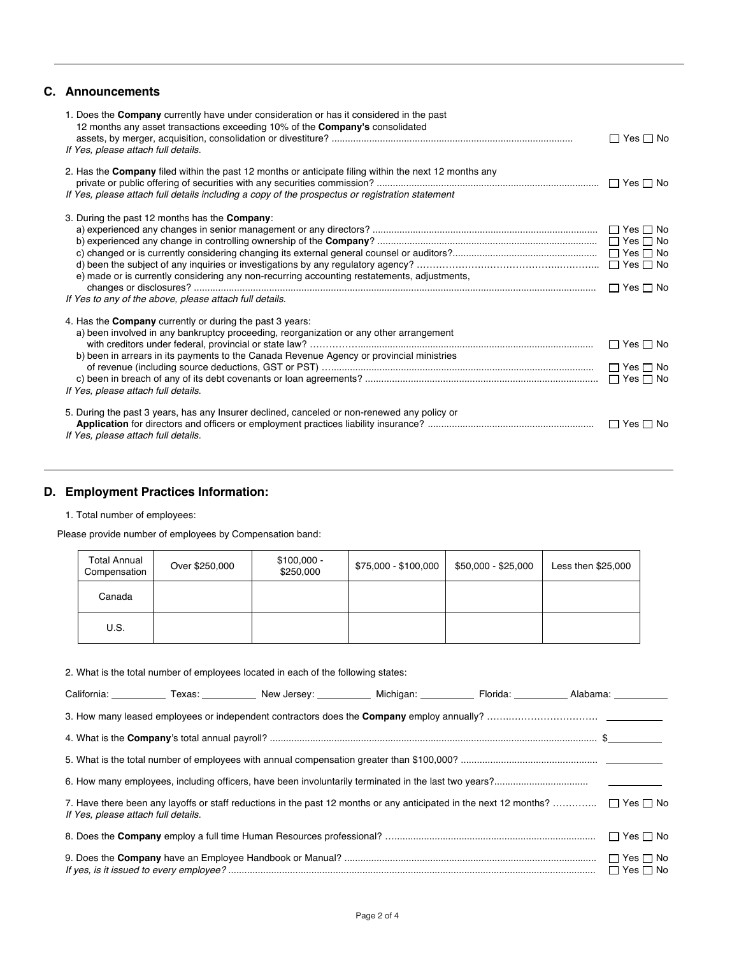## **C. Announcements**

| 1. Does the <b>Company</b> currently have under consideration or has it considered in the past<br>12 months any asset transactions exceeding 10% of the <b>Company's</b> consolidated<br>If Yes, please attach full details.                                                                 | $\Box$ Yes $\Box$ No                         |
|----------------------------------------------------------------------------------------------------------------------------------------------------------------------------------------------------------------------------------------------------------------------------------------------|----------------------------------------------|
| 2. Has the <b>Company</b> filed within the past 12 months or anticipate filing within the next 12 months any<br>If Yes, please attach full details including a copy of the prospectus or registration statement                                                                              |                                              |
| 3. During the past 12 months has the <b>Company</b> :<br>e) made or is currently considering any non-recurring accounting restatements, adjustments,<br>If Yes to any of the above, please attach full details.                                                                              | $\Box$ Yes $\Box$ No<br>$\Box$ Yes $\Box$ No |
| 4. Has the <b>Company</b> currently or during the past 3 years:<br>a) been involved in any bankruptcy proceeding, reorganization or any other arrangement<br>b) been in arrears in its payments to the Canada Revenue Agency or provincial ministries<br>If Yes, please attach full details. | $\Box$ Yes $\Box$ No                         |
| 5. During the past 3 years, has any Insurer declined, canceled or non-renewed any policy or<br>If Yes, please attach full details.                                                                                                                                                           | $\Box$ Yes $\Box$ No                         |

## **D. Employment Practices Information:**

#### 1. Total number of employees:

Please provide number of employees by Compensation band:

| <b>Total Annual</b><br>Compensation | Over \$250,000 | $$100,000 -$<br>\$250,000 | \$75,000 - \$100,000 | \$50,000 - \$25,000 | Less then \$25,000 |
|-------------------------------------|----------------|---------------------------|----------------------|---------------------|--------------------|
| Canada                              |                |                           |                      |                     |                    |
| U.S.                                |                |                           |                      |                     |                    |

| 2. What is the total number of employees located in each of the following states: |  |  |  |
|-----------------------------------------------------------------------------------|--|--|--|
|                                                                                   |  |  |  |

|                                     | California: Texas: New Jersey: Nichigan: Florida: Alabama: Alabama: Alabama: Alabama: Texas: New Jersey: Nichigan: Nichigan: Alabama: Alabama: Nichigan: Alabama: Nichigan: Alabama: Nichigan: Nichigan: Nichigan: Nichigan: N |  |                      |
|-------------------------------------|--------------------------------------------------------------------------------------------------------------------------------------------------------------------------------------------------------------------------------|--|----------------------|
|                                     |                                                                                                                                                                                                                                |  |                      |
|                                     |                                                                                                                                                                                                                                |  |                      |
|                                     |                                                                                                                                                                                                                                |  |                      |
|                                     |                                                                                                                                                                                                                                |  |                      |
| If Yes, please attach full details. | 7. Have there been any layoffs or staff reductions in the past 12 months or any anticipated in the next 12 months? $\Box$ Yes $\Box$ No                                                                                        |  |                      |
|                                     |                                                                                                                                                                                                                                |  |                      |
|                                     |                                                                                                                                                                                                                                |  | $\Box$ Yes $\Box$ No |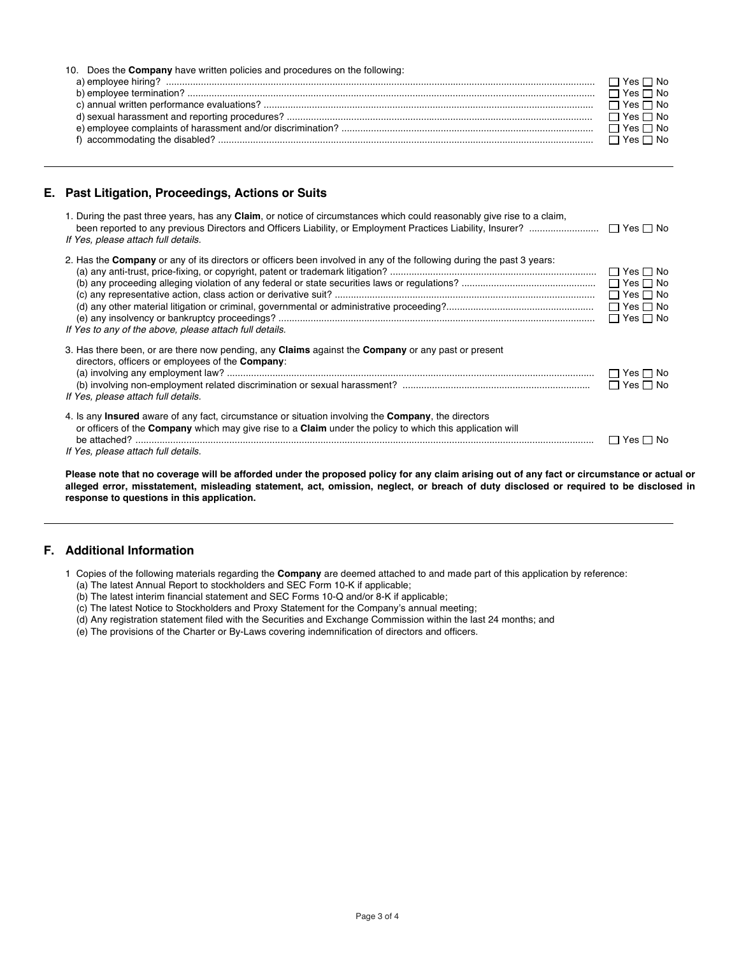| 10. Does the <b>Company</b> have written policies and procedures on the following: |                      |
|------------------------------------------------------------------------------------|----------------------|
|                                                                                    |                      |
|                                                                                    | $\Box$ Yes $\Box$ No |
|                                                                                    | $\Box$ Yes $\Box$ No |
|                                                                                    | $\Box$ Yes $\Box$ No |
|                                                                                    |                      |
|                                                                                    | $\Box$ Yes $\Box$ No |
|                                                                                    |                      |

### **E. Past Litigation, Proceedings, Actions or Suits**

| 1. During the past three years, has any Claim, or notice of circumstances which could reasonably give rise to a claim,<br>been reported to any previous Directors and Officers Liability, or Employment Practices Liability, Insurer?<br>If Yes, please attach full details. | $\Box$ Yes $\Box$ No                                                                                                 |
|------------------------------------------------------------------------------------------------------------------------------------------------------------------------------------------------------------------------------------------------------------------------------|----------------------------------------------------------------------------------------------------------------------|
| 2. Has the <b>Company</b> or any of its directors or officers been involved in any of the following during the past 3 years:<br>If Yes to any of the above, please attach full details.                                                                                      | $\Box$ Yes $\Box$ No<br>$\Box$ Yes $\Box$ No<br>$\Box$ Yes $\Box$ No<br>$\Box$ Yes $\Box$ No<br>$\Box$ Yes $\Box$ No |
| 3. Has there been, or are there now pending, any Claims against the Company or any past or present<br>directors, officers or employees of the <b>Company</b> :<br>If Yes, please attach full details.                                                                        | $\Box$ Yes $\Box$ No<br>$\Box$ Yes $\Box$ No                                                                         |
| 4. Is any <b>Insured</b> aware of any fact, circumstance or situation involving the <b>Company</b> , the directors<br>or officers of the Company which may give rise to a Claim under the policy to which this application will<br>If Yes, please attach full details.       | Yes I I No                                                                                                           |

**Please note that no coverage will be afforded under the proposed policy for any claim arising out of any fact or circumstance or actual or alleged error, misstatement, misleading statement, act, omission, neglect, or breach of duty disclosed or required to be disclosed in response to questions in this application.**

#### **F. Additional Information**

- 1 Copies of the following materials regarding the **Company** are deemed attached to and made part of this application by reference:
	- (a) The latest Annual Report to stockholders and SEC Form 10-K if applicable;
	- (b) The latest interim financial statement and SEC Forms 10-Q and/or 8-K if applicable;
	- (c) The latest Notice to Stockholders and Proxy Statement for the Company's annual meeting;
	- (d) Any registration statement filed with the Securities and Exchange Commission within the last 24 months; and
	- (e) The provisions of the Charter or By-Laws covering indemnification of directors and officers.